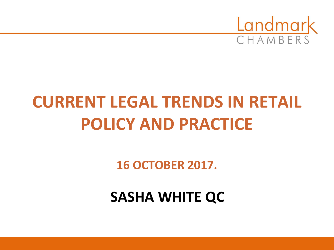

# **CURRENT LEGAL TRENDS IN RETAIL POLICY AND PRACTICE**

**16 OCTOBER 2017.**

**SASHA WHITE QC**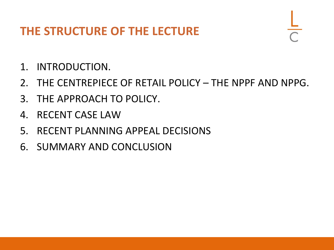### **THE STRUCTURE OF THE LECTURE**

- 1. INTRODUCTION.
- 2. THE CENTREPIECE OF RETAIL POLICY THE NPPF AND NPPG.
- 3. THE APPROACH TO POLICY.
- 4. RECENT CASE LAW
- 5. RECENT PLANNING APPEAL DECISIONS
- 6. SUMMARY AND CONCLUSION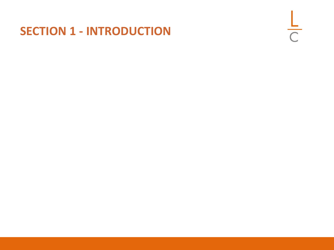### **SECTION 1 - INTRODUCTION**

 $rac{L}{C}$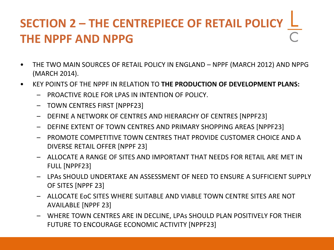# **SECTION 2 – THE CENTREPIECE OF RETAIL POLICY THE NPPF AND NPPG**

- THE TWO MAIN SOURCES OF RETAIL POLICY IN ENGLAND NPPF (MARCH 2012) AND NPPG (MARCH 2014).
- KEY POINTS OF THE NPPF IN RELATION TO **THE PRODUCTION OF DEVELOPMENT PLANS:**
	- PROACTIVE ROLE FOR LPAS IN INTENTION OF POLICY.
	- TOWN CENTRES FIRST [NPPF23]
	- DEFINE A NETWORK OF CENTRES AND HIERARCHY OF CENTRES [NPPF23]
	- DEFINE EXTENT OF TOWN CENTRES AND PRIMARY SHOPPING AREAS [NPPF23]
	- PROMOTE COMPETITIVE TOWN CENTRES THAT PROVIDE CUSTOMER CHOICE AND A DIVERSE RETAIL OFFER [NPPF 23]
	- ALLOCATE A RANGE OF SITES AND IMPORTANT THAT NEEDS FOR RETAIL ARE MET IN FULL [NPPF23]
	- LPAs SHOULD UNDERTAKE AN ASSESSMENT OF NEED TO ENSURE A SUFFICIENT SUPPLY OF SITES [NPPF 23]
	- ALLOCATE EoC SITES WHERE SUITABLE AND VIABLE TOWN CENTRE SITES ARE NOT AVAILABLE [NPPF 23]
	- WHERE TOWN CENTRES ARE IN DECLINE, LPAs SHOULD PLAN POSITIVELY FOR THEIR FUTURE TO ENCOURAGE ECONOMIC ACTIVITY [NPPF23]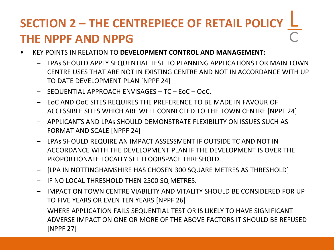# **SECTION 2 – THE CENTREPIECE OF RETAIL POLICY THE NPPF AND NPPG**

- KEY POINTS IN RELATION TO **DEVELOPMENT CONTROL AND MANAGEMENT:**
	- LPAs SHOULD APPLY SEQUENTIAL TEST TO PLANNING APPLICATIONS FOR MAIN TOWN CENTRE USES THAT ARE NOT IN EXISTING CENTRE AND NOT IN ACCORDANCE WITH UP TO DATE DEVELOPMENT PLAN [NPPF 24]
	- SEQUENTIAL APPROACH ENVISAGES TC EoC OoC.
	- EoC AND OoC SITES REQUIRES THE PREFERENCE TO BE MADE IN FAVOUR OF ACCESSIBLE SITES WHICH ARE WELL CONNECTED TO THE TOWN CENTRE [NPPF 24]
	- APPLICANTS AND LPAs SHOULD DEMONSTRATE FLEXIBILITY ON ISSUES SUCH AS FORMAT AND SCALE [NPPF 24]
	- LPAs SHOULD REQUIRE AN IMPACT ASSESSMENT IF OUTSIDE TC AND NOT IN ACCORDANCE WITH THE DEVELOPMENT PLAN IF THE DEVELOPMENT IS OVER THE PROPORTIONATE LOCALLY SET FLOORSPACE THRESHOLD.
	- [LPA IN NOTTINGHAMSHIRE HAS CHOSEN 300 SQUARE METRES AS THRESHOLD]
	- IF NO LOCAL THRESHOLD THEN 2500 SQ METRES.
	- IMPACT ON TOWN CENTRE VIABILITY AND VITALITY SHOULD BE CONSIDERED FOR UP TO FIVE YEARS OR EVEN TEN YEARS [NPPF 26]
	- WHERE APPLICATION FAILS SEQUENTIAL TEST OR IS LIKELY TO HAVE SIGNIFICANT ADVERSE IMPACT ON ONE OR MORE OF THE ABOVE FACTORS IT SHOULD BE REFUSED [NPPF 27]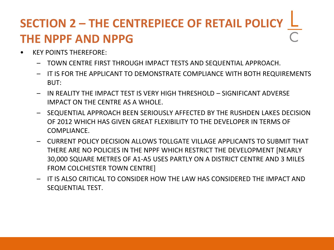# **SECTION 2 – THE CENTREPIECE OF RETAIL POLICY THE NPPF AND NPPG**

- KEY POINTS THEREFORE:
	- TOWN CENTRE FIRST THROUGH IMPACT TESTS AND SEQUENTIAL APPROACH.
	- IT IS FOR THE APPLICANT TO DEMONSTRATE COMPLIANCE WITH BOTH REQUIREMENTS BUT:
	- IN REALITY THE IMPACT TEST IS VERY HIGH THRESHOLD SIGNIFICANT ADVERSE IMPACT ON THE CENTRE AS A WHOLE.
	- SEQUENTIAL APPROACH BEEN SERIOUSLY AFFECTED BY THE RUSHDEN LAKES DECISION OF 2012 WHICH HAS GIVEN GREAT FLEXIBILITY TO THE DEVELOPER IN TERMS OF COMPLIANCE.
	- CURRENT POLICY DECISION ALLOWS TOLLGATE VILLAGE APPLICANTS TO SUBMIT THAT THERE ARE NO POLICIES IN THE NPPF WHICH RESTRICT THE DEVELOPMENT [NEARLY 30,000 SQUARE METRES OF A1-A5 USES PARTLY ON A DISTRICT CENTRE AND 3 MILES FROM COLCHESTER TOWN CENTRE]
	- IT IS ALSO CRITICAL TO CONSIDER HOW THE LAW HAS CONSIDERED THE IMPACT AND SEQUENTIAL TEST.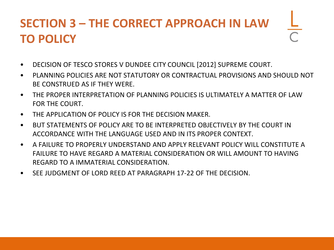### **SECTION 3 – THE CORRECT APPROACH IN LAW TO POLICY**

- DECISION OF TESCO STORES V DUNDEE CITY COUNCIL [2012] SUPREME COURT.
- PLANNING POLICIES ARE NOT STATUTORY OR CONTRACTUAL PROVISIONS AND SHOULD NOT BE CONSTRUED AS IF THEY WERE.
- THE PROPER INTERPRETATION OF PLANNING POLICIES IS ULTIMATELY A MATTER OF LAW FOR THE COURT.
- THE APPLICATION OF POLICY IS FOR THE DECISION MAKER.
- BUT STATEMENTS OF POLICY ARE TO BE INTERPRETED OBJECTIVELY BY THE COURT IN ACCORDANCE WITH THE LANGUAGE USED AND IN ITS PROPER CONTEXT.
- A FAILURE TO PROPERLY UNDERSTAND AND APPLY RELEVANT POLICY WILL CONSTITUTE A FAILURE TO HAVE REGARD A MATERIAL CONSIDERATION OR WILL AMOUNT TO HAVING REGARD TO A IMMATERIAL CONSIDERATION.
- SEE JUDGMENT OF LORD REED AT PARAGRAPH 17-22 OF THE DECISION.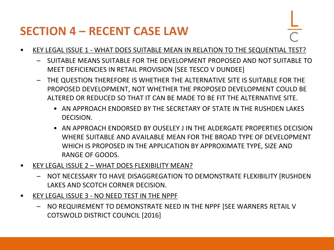### **SECTION 4 – RECENT CASE LAW**

- 
- KEY LEGAL ISSUE 1 WHAT DOES SUITABLE MEAN IN RELATION TO THE SEQUENTIAL TEST?
	- SUITABLE MEANS SUITABLE FOR THE DEVELOPMENT PROPOSED AND NOT SUITABLE TO MEET DEFICIENCIES IN RETAIL PROVISION [SEE TESCO V DUNDEE]
	- THE QUESTION THEREFORE IS WHETHER THE ALTERNATIVE SITE IS SUITABLE FOR THE PROPOSED DEVELOPMENT, NOT WHETHER THE PROPOSED DEVELOPMENT COULD BE ALTERED OR REDUCED SO THAT IT CAN BE MADE TO BE FIT THE ALTERNATIVE SITE.
		- AN APPROACH ENDORSED BY THE SECRETARY OF STATE IN THE RUSHDEN LAKES DECISION.
		- AN APPROACH ENDORSED BY OUSELEY J IN THE ALDERGATE PROPERTIES DECISION WHERE SUITABLE AND AVAILABLE MEAN FOR THE BROAD TYPE OF DEVELOPMENT WHICH IS PROPOSED IN THE APPLICATION BY APPROXIMATE TYPE, SIZE AND RANGE OF GOODS.
- KEY LEGAL ISSUE 2 WHAT DOES FLEXIBILITY MEAN?
	- NOT NECESSARY TO HAVE DISAGGREGATION TO DEMONSTRATE FLEXIBILITY [RUSHDEN LAKES AND SCOTCH CORNER DECISION.
- KEY LEGAL ISSUE 3 NO NEED TEST IN THE NPPF
	- NO REQUIREMENT TO DEMONSTRATE NEED IN THE NPPF [SEE WARNERS RETAIL V COTSWOLD DISTRICT COUNCIL [2016]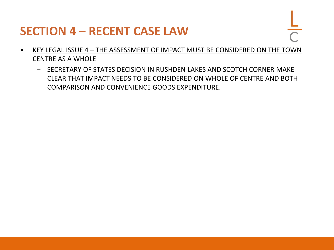### **SECTION 4 – RECENT CASE LAW**

- 
- KEY LEGAL ISSUE 4 THE ASSESSMENT OF IMPACT MUST BE CONSIDERED ON THE TOWN CENTRE AS A WHOLE
	- SECRETARY OF STATES DECISION IN RUSHDEN LAKES AND SCOTCH CORNER MAKE CLEAR THAT IMPACT NEEDS TO BE CONSIDERED ON WHOLE OF CENTRE AND BOTH COMPARISON AND CONVENIENCE GOODS EXPENDITURE.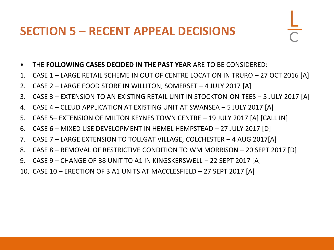### **SECTION 5 – RECENT APPEAL DECISIONS**

- 
- THE **FOLLOWING CASES DECIDED IN THE PAST YEAR** ARE TO BE CONSIDERED:
- 1. CASE 1 LARGE RETAIL SCHEME IN OUT OF CENTRE LOCATION IN TRURO 27 OCT 2016 [A]
- 2. CASE 2 LARGE FOOD STORE IN WILLITON, SOMERSET 4 JULY 2017 [A]
- 3. CASE 3 EXTENSION TO AN EXISTING RETAIL UNIT IN STOCKTON-ON-TEES 5 JULY 2017 [A]
- 4. CASE 4 CLEUD APPLICATION AT EXISTING UNIT AT SWANSEA 5 JULY 2017 [A]
- 5. CASE 5– EXTENSION OF MILTON KEYNES TOWN CENTRE 19 JULY 2017 [A] [CALL IN]
- 6. CASE 6 MIXED USE DEVELOPMENT IN HEMEL HEMPSTEAD 27 JULY 2017 [D]
- 7. CASE 7 LARGE EXTENSION TO TOLLGAT VILLAGE, COLCHESTER 4 AUG 2017[A]
- 8. CASE 8 REMOVAL OF RESTRICTIVE CONDITION TO WM MORRISON 20 SEPT 2017 [D]
- 9. CASE 9 CHANGE OF B8 UNIT TO A1 IN KINGSKERSWELL 22 SEPT 2017 [A]
- 10. CASE 10 ERECTION OF 3 A1 UNITS AT MACCLESFIELD 27 SEPT 2017 [A]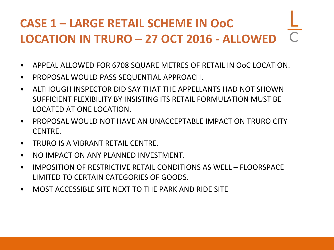# **CASE 1 – LARGE RETAIL SCHEME IN OoC LOCATION IN TRURO – 27 OCT 2016 - ALLOWED**

- APPEAL ALLOWED FOR 6708 SQUARE METRES OF RETAIL IN OoC LOCATION.
- PROPOSAL WOULD PASS SEQUENTIAL APPROACH.
- ALTHOUGH INSPECTOR DID SAY THAT THE APPELLANTS HAD NOT SHOWN SUFFICIENT FLEXIBILITY BY INSISTING ITS RETAIL FORMULATION MUST BE LOCATED AT ONE LOCATION.
- PROPOSAL WOULD NOT HAVE AN UNACCEPTABLE IMPACT ON TRURO CITY CENTRE.
- TRURO IS A VIBRANT RETAIL CENTRE.
- NO IMPACT ON ANY PLANNED INVESTMENT.
- IMPOSITION OF RESTRICTIVE RETAIL CONDITIONS AS WELL FLOORSPACE LIMITED TO CERTAIN CATEGORIES OF GOODS.
- MOST ACCESSIBLE SITE NEXT TO THE PARK AND RIDE SITE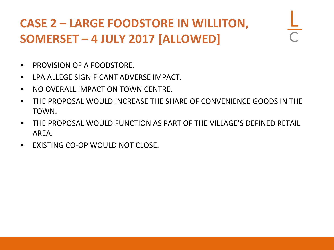### **CASE 2 – LARGE FOODSTORE IN WILLITON, SOMERSET – 4 JULY 2017 [ALLOWED]**

- PROVISION OF A FOODSTORE.
- LPA ALLEGE SIGNIFICANT ADVERSE IMPACT.
- NO OVERALL IMPACT ON TOWN CENTRE.
- THE PROPOSAL WOULD INCREASE THE SHARE OF CONVENIENCE GOODS IN THE TOWN.
- THE PROPOSAL WOULD FUNCTION AS PART OF THE VILLAGE'S DEFINED RETAIL AREA.
- EXISTING CO-OP WOULD NOT CLOSE.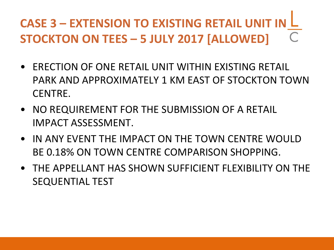# **CASE 3 – EXTENSION TO EXISTING RETAIL UNIT IN STOCKTON ON TEES – 5 JULY 2017 [ALLOWED]**

- ERECTION OF ONE RETAIL UNIT WITHIN EXISTING RETAIL PARK AND APPROXIMATELY 1 KM EAST OF STOCKTON TOWN CENTRE.
- NO REQUIREMENT FOR THE SUBMISSION OF A RETAIL IMPACT ASSESSMENT.
- IN ANY EVENT THE IMPACT ON THE TOWN CENTRE WOULD BE 0.18% ON TOWN CENTRE COMPARISON SHOPPING.
- THE APPELLANT HAS SHOWN SUFFICIENT FLEXIBILITY ON THE SEQUENTIAL TEST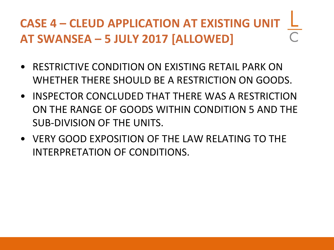# **CASE 4 – CLEUD APPLICATION AT EXISTING UNIT AT SWANSEA – 5 JULY 2017 [ALLOWED]**

- RESTRICTIVE CONDITION ON EXISTING RETAIL PARK ON WHETHER THERE SHOULD BE A RESTRICTION ON GOODS.
- INSPECTOR CONCLUDED THAT THERE WAS A RESTRICTION ON THE RANGE OF GOODS WITHIN CONDITION 5 AND THE SUB-DIVISION OF THE UNITS.
- VERY GOOD EXPOSITION OF THE LAW RELATING TO THE INTERPRETATION OF CONDITIONS.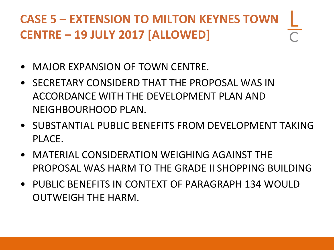### **CASE 5 – EXTENSION TO MILTON KEYNES TOWN CENTRE – 19 JULY 2017 [ALLOWED]**

- MAJOR EXPANSION OF TOWN CENTRE.
- SECRETARY CONSIDERD THAT THE PROPOSAL WAS IN ACCORDANCE WITH THE DEVELOPMENT PLAN AND NEIGHBOURHOOD PLAN.
- SUBSTANTIAL PUBLIC BENEFITS FROM DEVELOPMENT TAKING PLACE.
- MATERIAL CONSIDERATION WEIGHING AGAINST THE PROPOSAL WAS HARM TO THE GRADE II SHOPPING BUILDING
- PUBLIC BENEFITS IN CONTEXT OF PARAGRAPH 134 WOULD OUTWEIGH THE HARM.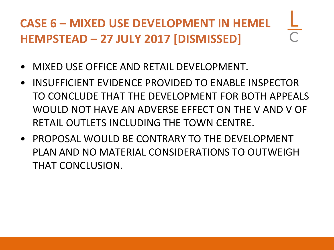# **CASE 6 – MIXED USE DEVELOPMENT IN HEMEL HEMPSTEAD – 27 JULY 2017 [DISMISSED]**

- MIXED USE OFFICE AND RETAIL DEVELOPMENT.
- INSUFFICIENT EVIDENCE PROVIDED TO ENABLE INSPECTOR TO CONCLUDE THAT THE DEVELOPMENT FOR BOTH APPEALS WOULD NOT HAVE AN ADVERSE EFFECT ON THE V AND V OF RETAIL OUTLETS INCLUDING THE TOWN CENTRE.
- PROPOSAL WOULD BE CONTRARY TO THE DEVELOPMENT PLAN AND NO MATERIAL CONSIDERATIONS TO OUTWEIGH THAT CONCLUSION.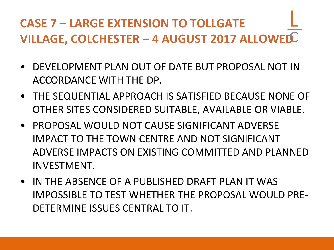### **CASE 7 – LARGE EXTENSION TO TOLLGATE VILLAGE, COLCHESTER – 4 AUGUST 2017 ALLOWED**

- DEVELOPMENT PLAN OUT OF DATE BUT PROPOSAL NOT IN ACCORDANCE WITH THE DP.
- THE SEQUENTIAL APPROACH IS SATISFIED BECAUSE NONE OF OTHER SITES CONSIDERED SUITABLE, AVAILABLE OR VIABLE.
- PROPOSAL WOULD NOT CAUSE SIGNIFICANT ADVERSE IMPACT TO THE TOWN CENTRE AND NOT SIGNIFICANT ADVERSE IMPACTS ON EXISTING COMMITTED AND PLANNED INVESTMENT.
- IN THE ABSENCE OF A PUBLISHED DRAFT PLAN IT WAS IMPOSSIBLE TO TEST WHETHER THE PROPOSAL WOULD PRE-DETERMINE ISSUES CENTRAL TO IT.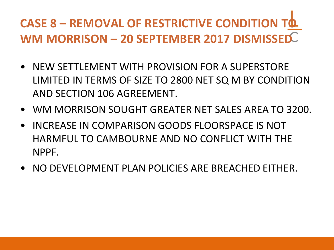# **CASE 8 – REMOVAL OF RESTRICTIVE CONDITION TO WM MORRISON – 20 SEPTEMBER 2017 DISMISSED**

- NEW SETTLEMENT WITH PROVISION FOR A SUPERSTORE LIMITED IN TERMS OF SIZE TO 2800 NET SQ M BY CONDITION AND SECTION 106 AGREEMENT.
- WM MORRISON SOUGHT GREATER NET SALES AREA TO 3200.
- INCREASE IN COMPARISON GOODS FLOORSPACE IS NOT HARMFUL TO CAMBOURNE AND NO CONFLICT WITH THE NPPF.
- NO DEVELOPMENT PLAN POLICIES ARE BREACHED EITHER.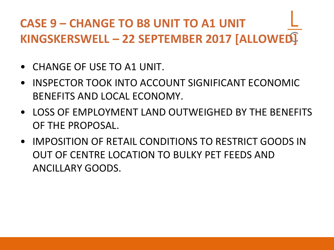### **CASE 9 – CHANGE TO B8 UNIT TO A1 UNIT KINGSKERSWELL – 22 SEPTEMBER 2017 [ALLOWED]**

- CHANGE OF USE TO A1 UNIT.
- INSPECTOR TOOK INTO ACCOUNT SIGNIFICANT ECONOMIC BENEFITS AND LOCAL ECONOMY.
- LOSS OF EMPLOYMENT LAND OUTWEIGHED BY THE BENEFITS OF THE PROPOSAL.
- IMPOSITION OF RETAIL CONDITIONS TO RESTRICT GOODS IN OUT OF CENTRE LOCATION TO BULKY PET FEEDS AND ANCILLARY GOODS.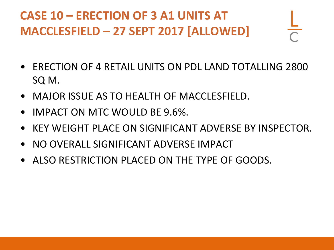### **CASE 10 – ERECTION OF 3 A1 UNITS AT MACCLESFIELD – 27 SEPT 2017 [ALLOWED]**

- ERECTION OF 4 RETAIL UNITS ON PDL LAND TOTALLING 2800 SQ M.
- MAJOR ISSUE AS TO HEALTH OF MACCLESFIELD.
- IMPACT ON MTC WOULD BE 9.6%.
- KEY WEIGHT PLACE ON SIGNIFICANT ADVERSE BY INSPECTOR.
- NO OVERALL SIGNIFICANT ADVERSE IMPACT
- ALSO RESTRICTION PLACED ON THE TYPE OF GOODS.